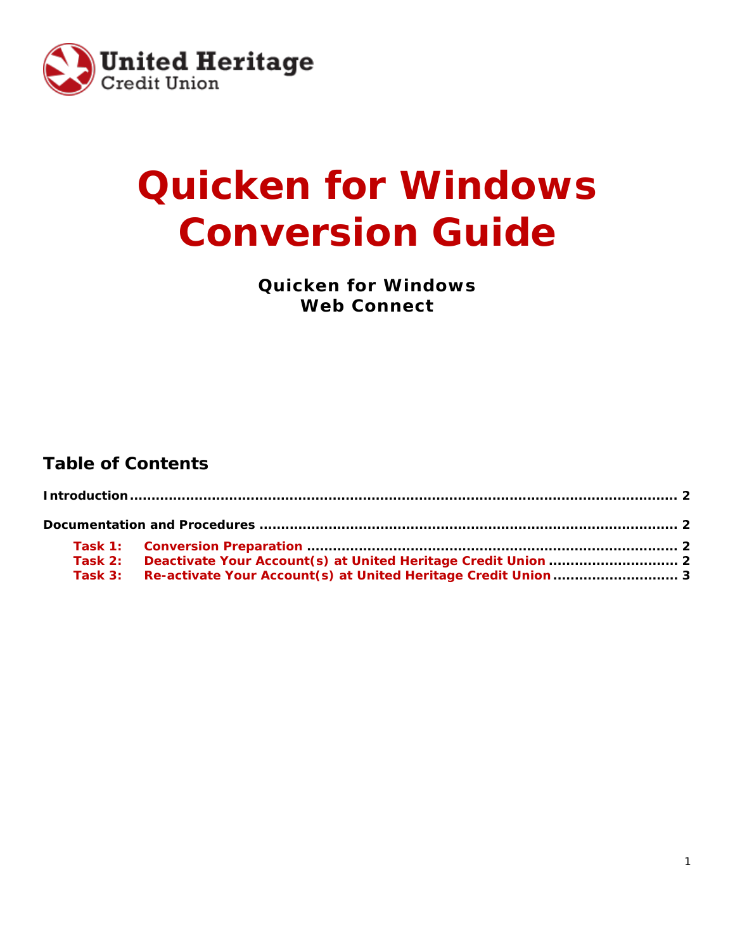

# **Quicken for Windows Conversion Guide**

**Quicken for Windows Web Connect**

# **Table of Contents**

|  | Task 3: Re-activate Your Account(s) at United Heritage Credit Union 3 |  |
|--|-----------------------------------------------------------------------|--|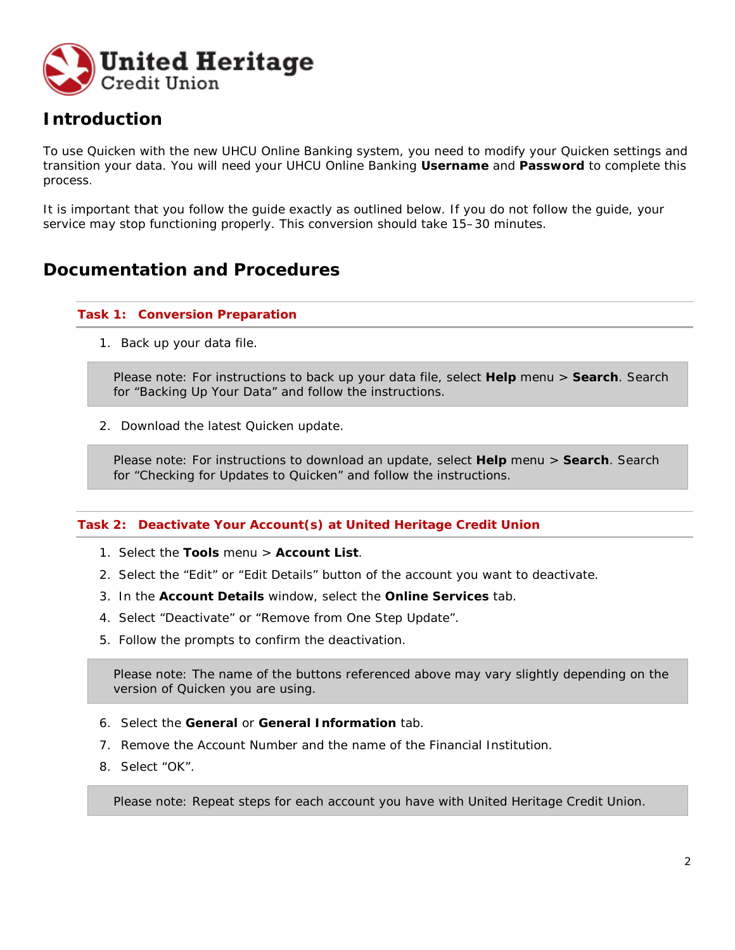

## **Introduction**

To use Quicken with the new UHCU Online Banking system, you need to modify your Quicken settings and transition your data. You will need your UHCU Online Banking **Username** and **Password** to complete this process.

It is important that you follow the guide exactly as outlined below. If you do not follow the guide, your service may stop functioning properly. This conversion should take 15–30 minutes.

## **Documentation and Procedures**

#### **Task 1: Conversion Preparation**

1. Back up your data file.

Please note: For instructions to back up your data file, select **Help** menu > **Search**. Search for "Backing Up Your Data" and follow the instructions.

2. Download the latest Quicken update.

Please note: For instructions to download an update, select **Help** menu > **Search**. Search for "Checking for Updates to Quicken" and follow the instructions.

### **Task 2: Deactivate Your Account(s) at United Heritage Credit Union**

- 1. Select the **Tools** menu > **Account List**.
- 2. Select the "Edit" or "Edit Details" button of the account you want to deactivate.
- 3. In the **Account Details** window, select the **Online Services** tab.
- 4. Select "Deactivate" or "Remove from One Step Update".
- 5. Follow the prompts to confirm the deactivation.

Please note: The name of the buttons referenced above may vary slightly depending on the version of Quicken you are using.

- 6. Select the **General** or **General Information** tab.
- 7. Remove the Account Number and the name of the Financial Institution.
- 8. Select "OK".

Please note: Repeat steps for each account you have with United Heritage Credit Union.